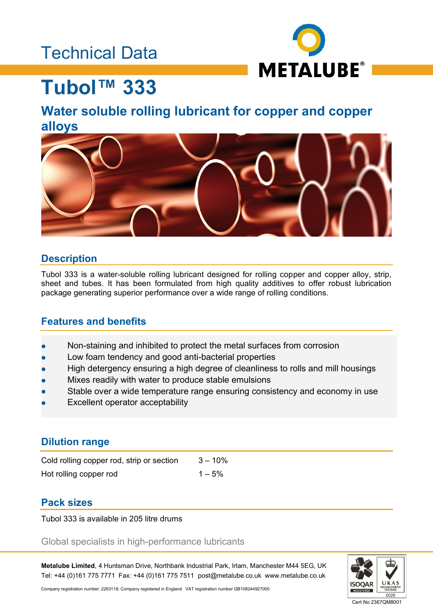### Technical Data



# **Tubol™ 333**

### **Water soluble rolling lubricant for copper and copper alloys**



### **Description**

Tubol 333 is a water-soluble rolling lubricant designed for rolling copper and copper alloy, strip, sheet and tubes. It has been formulated from high quality additives to offer robust lubrication package generating superior performance over a wide range of rolling conditions.

### **Features and benefits**

- Non-staining and inhibited to protect the metal surfaces from corrosion
- Low foam tendency and good anti-bacterial properties
- High detergency ensuring a high degree of cleanliness to rolls and mill housings
- Mixes readily with water to produce stable emulsions
- Stable over a wide temperature range ensuring consistency and economy in use
- Excellent operator acceptability

### **Dilution range**

| Cold rolling copper rod, strip or section | $3 - 10\%$ |
|-------------------------------------------|------------|
| Hot rolling copper rod                    | $1 - 5\%$  |

### **Pack sizes**

Tubol 333 is available in 205 litre drums

Global specialists in high-performance lubricants

**Metalube Limited**, 4 Huntsman Drive, Northbank Industrial Park, Irlam, Manchester M44 5EG, UK Tel: +44 (0)161 775 7771 Fax: +44 (0)161 775 7511 post@metalube.co.uk www.metalube.co.uk



Company registration number: 2263118; Company registered in England VAT registration number GB108244927000